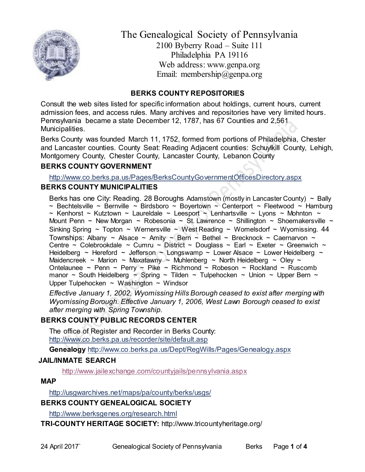

The Genealogical Society of Pennsylvania 2100 Byberry Road – Suite 111 Philadelphia PA 19116 Web address: www.genpa.org Email: membership@genpa.org

### **BERKS COUNTY REPOSITORIES**

Consult the web sites listed for specific information about holdings, current hours, current admission fees, and access rules. Many archives and repositories have very limited hours. Pennsylvania became a state December 12, 1787, has 67 Counties and 2,561 Municipalities.

Berks County was founded March 11, 1752, formed from portions of Philadelphia, Chester and Lancaster counties. County Seat: Reading Adjacent counties: Schuylkill County, Lehigh, Montgomery County, Chester County, Lancaster County, Lebanon County

### **BERKS COUNTY GOVERNMENT**

<http://www.co.berks.pa.us/Pages/BerksCountyGovernmentOfficesDirectory.aspx>

### **BERKS COUNTY MUNICIPALITIES**

Berks has one City: Reading. 28 Boroughs Adamstown (mostly in Lancaster County)  $\sim$  Bally ~ Bechtelsville ~ Bernville ~ Birdsboro ~ Boyertown ~ Centerport ~ Fleetwood ~ Hamburg ~ Kenhorst ~ Kutztown ~ Laureldale ~ Leesport ~ Lenhartsville ~ Lyons ~ Mohnton ~ Mount Penn ~ New Morgan ~ Robesonia ~ St. Lawrence ~ Shillington ~ Shoemakersville ~ Sinking Spring  $\sim$  Topton  $\sim$  Wernersville  $\sim$  West Reading  $\sim$  Womelsdorf  $\sim$  Wyomissing. 44 Townships: Albany ~ Alsace ~ Amity ~ Bern ~ Bethel ~ Brecknock ~ Caernarvon ~ Centre ~ Colebrookdale ~ Cumru ~ District ~ Douglass ~ Earl ~ Exeter ~ Greenwich ~ Heidelberg ~ Hereford ~ Jefferson ~ Longswamp ~ Lower Alsace ~ Lower Heidelberg ~ Maidencreek ~ Marion ~ Maxatawny ~ Muhlenberg ~ North Heidelberg ~ Oley ~ Ontelaunee ~ Penn ~ Perry ~ Pike ~ Richmond ~ Robeson ~ Rockland ~ Ruscomb manor  $\sim$  South Heidelberg  $\sim$  Spring  $\sim$  Tilden  $\sim$  Tulpehocken  $\sim$  Union  $\sim$  Upper Bern  $\sim$ Upper Tulpehocken  $\sim$  Washington  $\sim$  Windsor

*Effective January 1, 2002, Wyomissing Hills Borough ceased to exist after merging with Wyomissing Borough. Effective January 1, 2006, West Lawn Borough ceased to exist after merging with Spring Township.*

# **BERKS COUNTY PUBLIC RECORDS CENTER**

The office of Register and Recorder in Berks County: <http://www.co.berks.pa.us/recorder/site/default.asp>

**Genealogy** <http://www.co.berks.pa.us/Dept/RegWills/Pages/Genealogy.aspx>

# **JAIL/INMATE SEARCH**

<http://www.jailexchange.com/countyjails/pennsylvania.aspx>

### **MAP**

<http://usgwarchives.net/maps/pa/county/berks/usgs/>

# **BERKS COUNTY GENEALOGICAL SOCIETY**

<http://www.berksgenes.org/research.html>

**TRI-COUNTY HERITAGE SOCIETY:** http://www.tricountyheritage.org/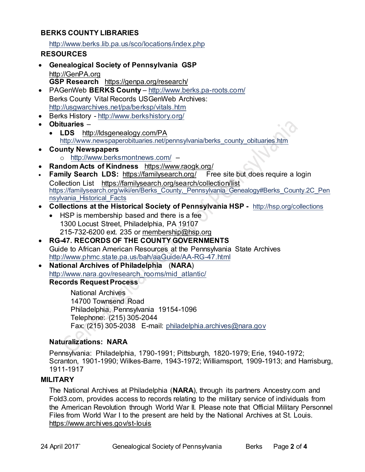### **BERKS COUNTY LIBRARIES**

<http://www.berks.lib.pa.us/sco/locations/index.php>

### **RESOURCES**

- **Genealogical Society of Pennsylvania GSP** [http://GenPA.org](http://genpa.org/) **GSP Research** <https://genpa.org/research/>
- PAGenWeb **BERKS County** <http://www.berks.pa-roots.com/> Berks County Vital Records USGenWeb Archives: <http://usgwarchives.net/pa/berksp/vitals.htm>
- **Berks History <http://www.berkshistory.org/>**
- **Obituaries**
	- **LDS** <http://ldsgenealogy.com/PA> [http://www.newspaperobituaries.net/pennsylvania/berks\\_county\\_obituaries.htm](http://www.newspaperobituaries.net/pennsylvania/berks_county_obituaries.htm)
- **County Newspapers**  o <http://www.berksmontnews.com/> –
- **Random Acts of Kindness** <https://www.raogk.org/>
- **Family Search LDS:**<https://familysearch.org/>Free site but does require a login Collection List <https://familysearch.org/search/collection/list> [https://familysearch.org/wiki/en/Berks\\_County,\\_Pennsylvania\\_Genealogy#Berks\\_County.2C\\_Pen](https://familysearch.org/wiki/en/Berks_County,_Pennsylvania_Genealogy#Berks_County.2C_Pennsylvania_Historical_Facts) [nsylvania\\_Historical\\_Facts](https://familysearch.org/wiki/en/Berks_County,_Pennsylvania_Genealogy#Berks_County.2C_Pennsylvania_Historical_Facts)
- **Collections at the Historical Society of Pennsylvania HSP -** <http://hsp.org/collections>
	- HSP is membership based and there is a fee 1300 Locust Street, Philadelphia, PA 19107 215-732-6200 ext. 235 or [membership@hsp.org](mailto:membership@hsp.org)

### **RG-47. RECORDS OF THE COUNTY GOVERNMENTS** Guide to African American Resources at the Pennsylvania State Archives <http://www.phmc.state.pa.us/bah/aaGuide/AA-RG-47.html>

 **National Archives of Philadelphia** (**NARA**) [http://www.nara.gov/research\\_rooms/mid\\_atlantic/](http://www.nara.gov/research_rooms/mid_atlantic/) **Records Request Process**

> National Archives 14700 Townsend Road Philadelphia, Pennsylvania 19154-1096 Telephone: (215) 305-2044 Fax: (215) 305-2038 E-mail: [philadelphia.archives@nara.gov](mailto:philadelphia.archives@nara.gov)

# **Naturalizations: NARA**

Pennsylvania: Philadelphia, 1790-1991; Pittsburgh, 1820-1979; Erie, 1940-1972; Scranton, 1901-1990; Wilkes-Barre, 1943-1972; Williamsport, 1909-1913; and Harrisburg, 1911-1917

### **MILITARY**

The National Archives at Philadelphia (**NARA**), through its partners Ancestry.com and Fold3.com, provides access to records relating to the military service of individuals from the American Revolution through World War II. Please note that Official Military Personnel Files from World War I to the present are held by the National Archives at St. Louis. <https://www.archives.gov/st-louis>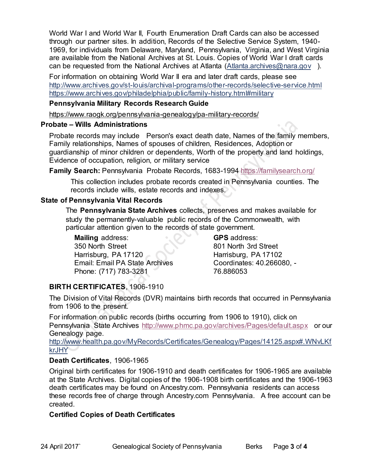World War I and World War II, Fourth Enumeration Draft Cards can also be accessed through our partner sites. In addition, Records of the Selective Service System, 1940- 1969, for individuals from Delaware, Maryland, Pennsylvania, Virginia, and West Virginia are available from the National Archives at St. Louis. Copies of World War I draft cards can be requested from the National Archives at Atlanta [\(Atlanta.archives@nara.gov](mailto:Atlanta.archives@nara.gov) ).

For information on obtaining World War II era and later draft cards, please see <http://www.archives.gov/st-louis/archival-programs/other-records/selective-service.html> <https://www.archives.gov/philadelphia/public/family-history.html#military>

#### **Pennsylvania Military Records Research Guide**

<https://www.raogk.org/pennsylvania-genealogy/pa-military-records/>

#### **Probate – Wills Administrations**

Probate records may include Person's exact death date, Names of the family members, Family relationships, Names of spouses of children, Residences, Adoption or guardianship of minor children or dependents, Worth of the property and land holdings, Evidence of occupation, religion, or military service

**Family Search:** Pennsylvania Probate Records, 1683-1994 <https://familysearch.org/>

This collection includes probate records created in Pennsylvania counties. The records include wills, estate records and indexes.

### **State of Pennsylvania Vital Records**

The **Pennsylvania State Archives** collects, preserves and makes available for study the permanently-valuable public records of the Commonwealth, with particular attention given to the records of state government.

**Mailing** address: 350 North Street Harrisburg, PA 17120 Email: Email PA State Archives Phone: (717) 783-3281

**GPS** address: 801 North 3rd Street Harrisburg, PA 17102 Coordinates: 40.266080, - 76.886053

# **BIRTH CERTIFICATES**, 1906-1910

The Division of Vital Records (DVR) maintains birth records that occurred in Pennsylvania from 1906 to the present.

For information on public records (births occurring from 1906 to 1910), click on Pennsylvania State Archives <http://www.phmc.pa.gov/archives/Pages/default.aspx>or our Genealogy page.

[http://www.health.pa.gov/MyRecords/Certificates/Genealogy/Pages/14125.aspx#.WNvLKf](http://www.health.pa.gov/MyRecords/Certificates/Genealogy/Pages/14125.aspx#.WNvLKfkrJHY) [krJHY](http://www.health.pa.gov/MyRecords/Certificates/Genealogy/Pages/14125.aspx#.WNvLKfkrJHY)

### **Death Certificates**, 1906-1965

Original birth certificates for 1906-1910 and death certificates for 1906-1965 are available at the State Archives. Digital copies of the 1906-1908 birth certificates and the 1906-1963 death certificates may be found on Ancestry.com. Pennsylvania residents can access these records free of charge through Ancestry.com Pennsylvania. A free account can be created.

### **Certified Copies of Death Certificates**